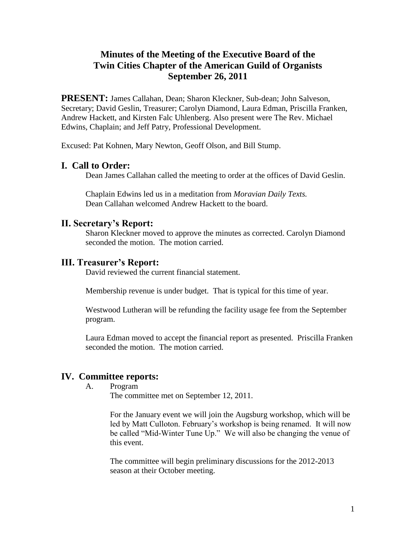## **Minutes of the Meeting of the Executive Board of the Twin Cities Chapter of the American Guild of Organists September 26, 2011**

**PRESENT:** James Callahan, Dean; Sharon Kleckner, Sub-dean; John Salveson, Secretary; David Geslin, Treasurer; Carolyn Diamond, Laura Edman, Priscilla Franken, Andrew Hackett, and Kirsten Falc Uhlenberg. Also present were The Rev. Michael Edwins, Chaplain; and Jeff Patry, Professional Development.

Excused: Pat Kohnen, Mary Newton, Geoff Olson, and Bill Stump.

## **I. Call to Order:**

Dean James Callahan called the meeting to order at the offices of David Geslin.

Chaplain Edwins led us in a meditation from *Moravian Daily Texts.* Dean Callahan welcomed Andrew Hackett to the board.

#### **II. Secretary's Report:**

Sharon Kleckner moved to approve the minutes as corrected. Carolyn Diamond seconded the motion. The motion carried.

#### **III. Treasurer's Report:**

David reviewed the current financial statement.

Membership revenue is under budget. That is typical for this time of year.

Westwood Lutheran will be refunding the facility usage fee from the September program.

Laura Edman moved to accept the financial report as presented. Priscilla Franken seconded the motion. The motion carried.

## **IV. Committee reports:**

A. Program

The committee met on September 12, 2011.

For the January event we will join the Augsburg workshop, which will be led by Matt Culloton. February's workshop is being renamed. It will now be called "Mid-Winter Tune Up." We will also be changing the venue of this event.

The committee will begin preliminary discussions for the 2012-2013 season at their October meeting.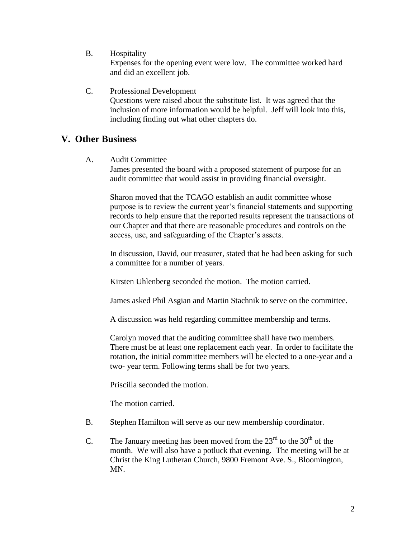B. Hospitality

Expenses for the opening event were low. The committee worked hard and did an excellent job.

C. Professional Development Questions were raised about the substitute list. It was agreed that the inclusion of more information would be helpful. Jeff will look into this, including finding out what other chapters do.

## **V. Other Business**

A. Audit Committee

James presented the board with a proposed statement of purpose for an audit committee that would assist in providing financial oversight.

Sharon moved that the TCAGO establish an audit committee whose purpose is to review the current year's financial statements and supporting records to help ensure that the reported results represent the transactions of our Chapter and that there are reasonable procedures and controls on the access, use, and safeguarding of the Chapter's assets.

In discussion, David, our treasurer, stated that he had been asking for such a committee for a number of years.

Kirsten Uhlenberg seconded the motion. The motion carried.

James asked Phil Asgian and Martin Stachnik to serve on the committee.

A discussion was held regarding committee membership and terms.

Carolyn moved that the auditing committee shall have two members. There must be at least one replacement each year. In order to facilitate the rotation, the initial committee members will be elected to a one-year and a two- year term. Following terms shall be for two years.

Priscilla seconded the motion.

The motion carried.

- B. Stephen Hamilton will serve as our new membership coordinator.
- C. The January meeting has been moved from the  $23<sup>rd</sup>$  to the 30<sup>th</sup> of the month. We will also have a potluck that evening. The meeting will be at Christ the King Lutheran Church, 9800 Fremont Ave. S., Bloomington, MN.